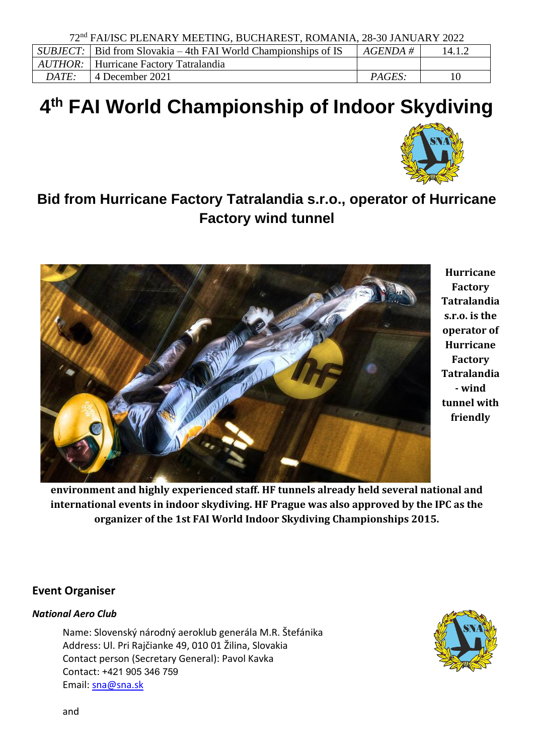|              | $SUBJECT:$ Bid from Slovakia – 4th FAI World Championships of IS | $AGENDA \#$   | 14.1.2 |
|--------------|------------------------------------------------------------------|---------------|--------|
|              | <i>AUTHOR:</i>   Hurricane Factory Tatralandia                   |               |        |
| <i>DATE:</i> | <sup>1</sup> 4 December 2021                                     | <i>PAGES:</i> |        |

# **4 th FAI World Championship of Indoor Skydiving**



# **Bid from Hurricane Factory Tatralandia s.r.o., operator of Hurricane Factory wind tunnel**



**Hurricane Factory Tatralandia s.r.o. is the operator of Hurricane Factory Tatralandia - wind tunnel with friendly** 

**environment and highly experienced staff. HF tunnels already held several national and international events in indoor skydiving. HF Prague was also approved by the IPC as the organizer of the 1st FAI World Indoor Skydiving Championships 2015.**

# **Event Organiser**

# *National Aero Club*

Name: Slovenský národný aeroklub generála M.R. Štefánika Address: Ul. Pri Rajčianke 49, 010 01 Žilina, Slovakia Contact person (Secretary General): Pavol Kavka Contact: +421 905 346 759 Email: [sna@sna.sk](mailto:sna@sna.sk)

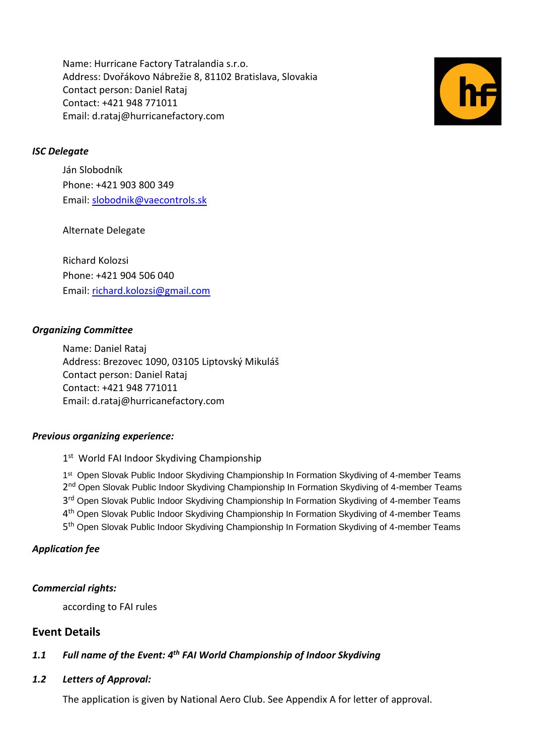Name: Hurricane Factory Tatralandia s.r.o. Address: Dvořákovo Nábrežie 8, 81102 Bratislava, Slovakia Contact person: Daniel Rataj Contact: +421 948 771011 Email: d.rataj@hurricanefactory.com



## *ISC Delegate*

Ján Slobodník Phone: +421 903 800 349 Email: [slobodnik@vaecontrols.sk](mailto:slobodnik@vaecontrols.sk)

## Alternate Delegate

Richard Kolozsi Phone: +421 904 506 040 Email: [richard.kolozsi@gmail.com](mailto:richard.kolozsi@gmail.com)

#### *Organizing Committee*

Name: Daniel Rataj Address: Brezovec 1090, 03105 Liptovský Mikuláš Contact person: Daniel Rataj Contact: +421 948 771011 Email: d.rataj@hurricanefactory.com

#### *Previous organizing experience:*

1<sup>st</sup> World FAI Indoor Skydiving Championship

1<sup>st</sup> Open Slovak Public Indoor Skydiving Championship In Formation Skydiving of 4-member Teams 2<sup>nd</sup> Open Slovak Public Indoor Skydiving Championship In Formation Skydiving of 4-member Teams 3<sup>rd</sup> Open Slovak Public Indoor Skydiving Championship In Formation Skydiving of 4-member Teams 4<sup>th</sup> Open Slovak Public Indoor Skydiving Championship In Formation Skydiving of 4-member Teams 5<sup>th</sup> Open Slovak Public Indoor Skydiving Championship In Formation Skydiving of 4-member Teams

#### *Application fee*

#### *Commercial rights:*

according to FAI rules

# **Event Details**

# *1.1 Full name of the Event: 4th FAI World Championship of Indoor Skydiving*

#### *1.2 Letters of Approval:*

The application is given by National Aero Club. See Appendix A for letter of approval.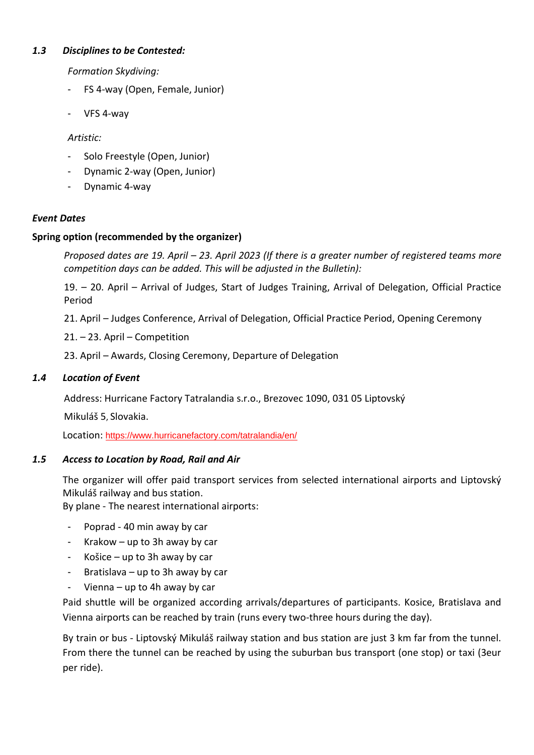# *1.3 Disciplines to be Contested:*

*Formation Skydiving:*

- FS 4-way (Open, Female, Junior)
- VFS 4-way

# *Artistic:*

- Solo Freestyle (Open, Junior)
- Dynamic 2-way (Open, Junior)
- Dynamic 4-way

# *Event Dates*

# **Spring option (recommended by the organizer)**

*Proposed dates are 19. April – 23. April 2023 (If there is a greater number of registered teams more competition days can be added. This will be adjusted in the Bulletin):*

19. – 20. April – Arrival of Judges, Start of Judges Training, Arrival of Delegation, Official Practice Period

21. April – Judges Conference, Arrival of Delegation, Official Practice Period, Opening Ceremony

- 21. 23. April Competition
- 23. April Awards, Closing Ceremony, Departure of Delegation

# *1.4 Location of Event*

Address: Hurricane Factory Tatralandia s.r.o., Brezovec 1090, 031 05 Liptovský

Mikuláš 5, Slovakia.

Location: <https://www.hurricanefactory.com/tatralandia/en/>

# *1.5 Access to Location by Road, Rail and Air*

The organizer will offer paid transport services from selected international airports and Liptovský Mikuláš railway and bus station.

By plane - The nearest international airports:

- Poprad 40 min away by car
- Krakow up to 3h away by car
- Košice up to 3h away by car
- Bratislava up to 3h away by car
- Vienna up to 4h away by car

Paid shuttle will be organized according arrivals/departures of participants. Kosice, Bratislava and Vienna airports can be reached by train (runs every two-three hours during the day).

By train or bus - Liptovský Mikuláš railway station and bus station are just 3 km far from the tunnel. From there the tunnel can be reached by using the suburban bus transport (one stop) or taxi (3eur per ride).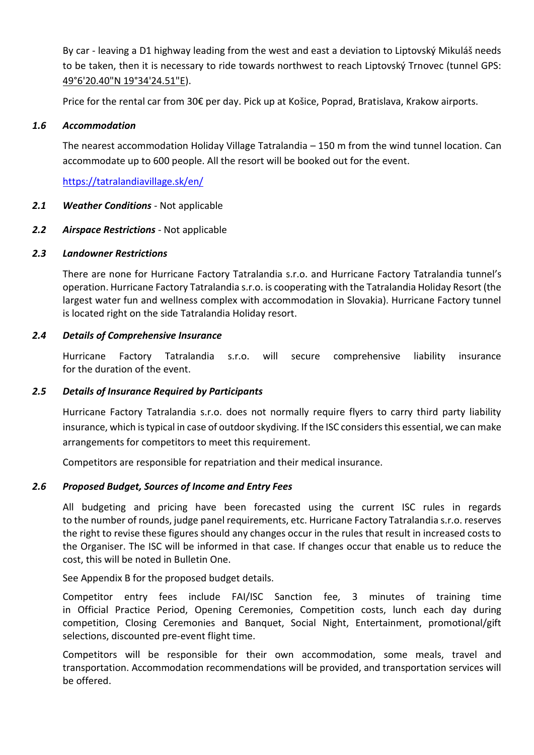By car - leaving a D1 highway leading from the west and east a deviation to Liptovský Mikuláš needs to be taken, then it is necessary to ride towards northwest to reach Liptovský Trnovec (tunnel GPS: [49°6'20.40"N 19°34'24.51"E\)](https://www.google.com/maps/place/Hurricane+Factory+-+Tatralandia/@49.094138,19.586917,12z/data=!4m2!3m1!1s0x0:0x4c9cf646d0645e64?hl=sk-SK).

Price for the rental car from 30€ per day. Pick up at Košice, Poprad, Bratislava, Krakow airports.

#### *1.6 Accommodation*

The nearest accommodation Holiday Village Tatralandia – 150 m from the wind tunnel location. Can accommodate up to 600 people. All the resort will be booked out for the event.

<https://tatralandiavillage.sk/en/>

## *2.1 Weather Conditions* - Not applicable

## *2.2 Airspace Restrictions* - Not applicable

#### *2.3 Landowner Restrictions*

There are none for Hurricane Factory Tatralandia s.r.o. and Hurricane Factory Tatralandia tunnel's operation. Hurricane Factory Tatralandia s.r.o. is cooperating with the Tatralandia Holiday Resort (the largest water fun and wellness complex with accommodation in Slovakia). Hurricane Factory tunnel is located right on the side Tatralandia Holiday resort.

## *2.4 Details of Comprehensive Insurance*

Hurricane Factory Tatralandia s.r.o. will secure comprehensive liability insurance for the duration of the event.

#### *2.5 Details of Insurance Required by Participants*

Hurricane Factory Tatralandia s.r.o. does not normally require flyers to carry third party liability insurance, which is typical in case of outdoor skydiving. If the ISC considers this essential, we can make arrangements for competitors to meet this requirement.

Competitors are responsible for repatriation and their medical insurance.

# *2.6 Proposed Budget, Sources of Income and Entry Fees*

All budgeting and pricing have been forecasted using the current ISC rules in regards to the number of rounds, judge panel requirements, etc. Hurricane Factory Tatralandia s.r.o. reserves the right to revise these figures should any changes occur in the rules that result in increased costs to the Organiser. The ISC will be informed in that case. If changes occur that enable us to reduce the cost, this will be noted in Bulletin One.

See Appendix B for the proposed budget details.

Competitor entry fees include FAI/ISC Sanction fee*,* 3 minutes of training time in Official Practice Period, Opening Ceremonies, Competition costs, lunch each day during competition, Closing Ceremonies and Banquet, Social Night, Entertainment, promotional/gift selections, discounted pre-event flight time.

Competitors will be responsible for their own accommodation, some meals, travel and transportation. Accommodation recommendations will be provided, and transportation services will be offered.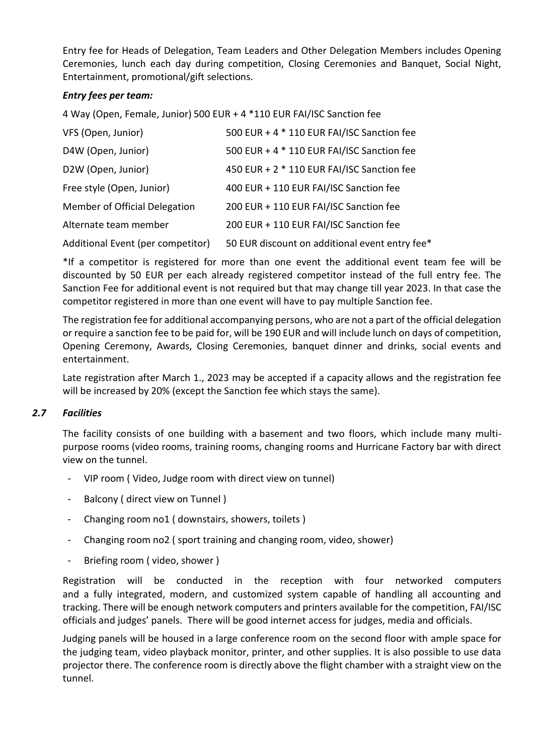Entry fee for Heads of Delegation, Team Leaders and Other Delegation Members includes Opening Ceremonies, lunch each day during competition, Closing Ceremonies and Banquet, Social Night, Entertainment, promotional/gift selections.

# *Entry fees per team:*

4 Way (Open, Female, Junior) 500 EUR + 4 \*110 EUR FAI/ISC Sanction fee

| VFS (Open, Junior)                | 500 EUR + 4 * 110 EUR FAI/ISC Sanction fee    |
|-----------------------------------|-----------------------------------------------|
| D4W (Open, Junior)                | 500 EUR + 4 * 110 EUR FAI/ISC Sanction fee    |
| D2W (Open, Junior)                | 450 EUR + 2 * 110 EUR FAI/ISC Sanction fee    |
| Free style (Open, Junior)         | 400 EUR + 110 EUR FAI/ISC Sanction fee        |
| Member of Official Delegation     | 200 EUR + 110 EUR FAI/ISC Sanction fee        |
| Alternate team member             | 200 EUR + 110 EUR FAI/ISC Sanction fee        |
| Additional Event (per competitor) | 50 EUR discount on additional event entry fee |

\*If a competitor is registered for more than one event the additional event team fee will be discounted by 50 EUR per each already registered competitor instead of the full entry fee. The Sanction Fee for additional event is not required but that may change till year 2023. In that case the competitor registered in more than one event will have to pay multiple Sanction fee.

The registration fee for additional accompanying persons, who are not a part of the official delegation or require a sanction fee to be paid for, will be 190 EUR and will include lunch on days of competition, Opening Ceremony, Awards, Closing Ceremonies, banquet dinner and drinks, social events and entertainment.

Late registration after March 1., 2023 may be accepted if a capacity allows and the registration fee will be increased by 20% (except the Sanction fee which stays the same).

# *2.7 Facilities*

The facility consists of one building with a basement and two floors, which include many multipurpose rooms (video rooms, training rooms, changing rooms and Hurricane Factory bar with direct view on the tunnel.

- VIP room ( Video, Judge room with direct view on tunnel)
- Balcony ( direct view on Tunnel )
- Changing room no1 ( downstairs, showers, toilets )
- Changing room no2 ( sport training and changing room, video, shower)
- Briefing room ( video, shower )

Registration will be conducted in the reception with four networked computers and a fully integrated, modern, and customized system capable of handling all accounting and tracking. There will be enough network computers and printers available for the competition, FAI/ISC officials and judges' panels. There will be good internet access for judges, media and officials.

Judging panels will be housed in a large conference room on the second floor with ample space for the judging team, video playback monitor, printer, and other supplies. It is also possible to use data projector there. The conference room is directly above the flight chamber with a straight view on the tunnel.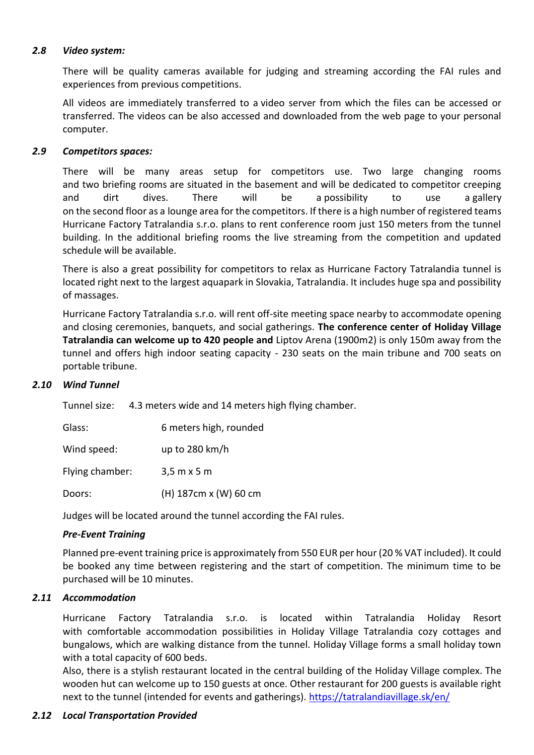#### *2.8 Video system:*

There will be quality cameras available for judging and streaming according the FAI rules and experiences from previous competitions.

All videos are immediately transferred to a video server from which the files can be accessed or transferred. The videos can be also accessed and downloaded from the web page to your personal computer.

# *2.9 Competitors spaces:*

There will be many areas setup for competitors use. Two large changing rooms and two briefing rooms are situated in the basement and will be dedicated to competitor creeping and dirt dives. There will be a possibility to use a gallery on the second floor as a lounge area for the competitors. If there is a high number of registered teams Hurricane Factory Tatralandia s.r.o. plans to rent conference room just 150 meters from the tunnel building. In the additional briefing rooms the live streaming from the competition and updated schedule will be available.

There is also a great possibility for competitors to relax as Hurricane Factory Tatralandia tunnel is located right next to the largest aquapark in Slovakia, Tatralandia. It includes huge spa and possibility of massages.

Hurricane Factory Tatralandia s.r.o. will rent off-site meeting space nearby to accommodate opening and closing ceremonies, banquets, and social gatherings. **The conference center of Holiday Village Tatralandia can welcome up to 420 people and** Liptov Arena (1900m2) is only 150m away from the tunnel and offers high indoor seating capacity - 230 seats on the main tribune and 700 seats on portable tribune.

#### *2.10 Wind Tunnel*

Tunnel size: 4.3 meters wide and 14 meters high flying chamber.

| Glass:          | 6 meters high, rounded             |
|-----------------|------------------------------------|
| Wind speed:     | up to $280 \text{ km/h}$           |
| Flying chamber: | $3,5 \text{ m} \times 5 \text{ m}$ |
| Doors:          | (H) 187cm x (W) 60 cm              |

Judges will be located around the tunnel according the FAI rules.

# *Pre-Event Training*

Planned pre-event training price is approximately from 550 EUR per hour (20 % VAT included). It could be booked any time between registering and the start of competition. The minimum time to be purchased will be 10 minutes.

# *2.11 Accommodation*

Hurricane Factory Tatralandia s.r.o. is located within Tatralandia Holiday Resort with comfortable accommodation possibilities in Holiday Village Tatralandia cozy cottages and bungalows, which are walking distance from the tunnel. Holiday Village forms a small holiday town with a total capacity of 600 beds.

Also, there is a stylish restaurant located in the central building of the Holiday Village complex. The wooden hut can welcome up to 150 guests at once. Other restaurant for 200 guests is available right next to the tunnel (intended for events and gatherings).<https://tatralandiavillage.sk/en/>

#### *2.12 Local Transportation Provided*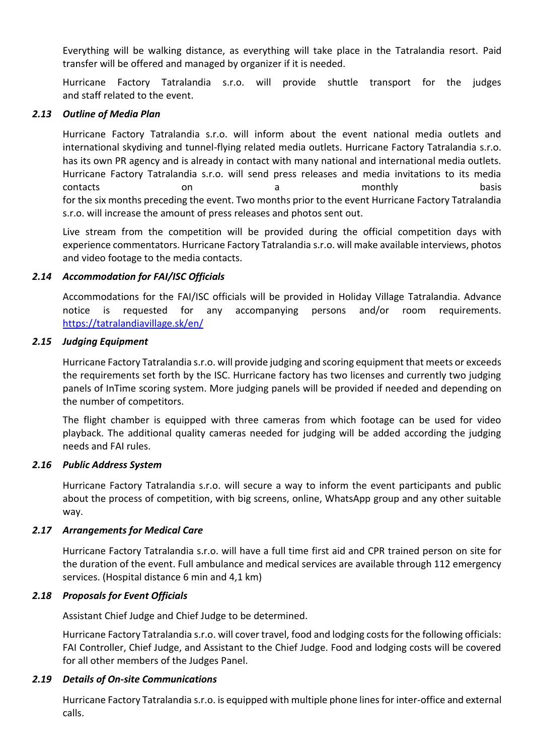Everything will be walking distance, as everything will take place in the Tatralandia resort. Paid transfer will be offered and managed by organizer if it is needed.

Hurricane Factory Tatralandia s.r.o. will provide shuttle transport for the judges and staff related to the event.

#### *2.13 Outline of Media Plan*

Hurricane Factory Tatralandia s.r.o. will inform about the event national media outlets and international skydiving and tunnel-flying related media outlets. Hurricane Factory Tatralandia s.r.o. has its own PR agency and is already in contact with many national and international media outlets. Hurricane Factory Tatralandia s.r.o. will send press releases and media invitations to its media contacts on on a contacts basis for the six months preceding the event. Two months prior to the event Hurricane Factory Tatralandia s.r.o. will increase the amount of press releases and photos sent out.

Live stream from the competition will be provided during the official competition days with experience commentators. Hurricane Factory Tatralandia s.r.o. will make available interviews, photos and video footage to the media contacts.

#### *2.14 Accommodation for FAI/ISC Officials*

Accommodations for the FAI/ISC officials will be provided in Holiday Village Tatralandia. Advance notice is requested for any accompanying persons and/or room requirements. <https://tatralandiavillage.sk/en/>

#### *2.15 Judging Equipment*

Hurricane Factory Tatralandia s.r.o. will provide judging and scoring equipment that meets or exceeds the requirements set forth by the ISC. Hurricane factory has two licenses and currently two judging panels of InTime scoring system. More judging panels will be provided if needed and depending on the number of competitors.

The flight chamber is equipped with three cameras from which footage can be used for video playback. The additional quality cameras needed for judging will be added according the judging needs and FAI rules.

#### *2.16 Public Address System*

Hurricane Factory Tatralandia s.r.o. will secure a way to inform the event participants and public about the process of competition, with big screens, online, WhatsApp group and any other suitable way.

#### *2.17 Arrangements for Medical Care*

Hurricane Factory Tatralandia s.r.o. will have a full time first aid and CPR trained person on site for the duration of the event. Full ambulance and medical services are available through 112 emergency services. (Hospital distance 6 min and 4,1 km)

#### *2.18 Proposals for Event Officials*

Assistant Chief Judge and Chief Judge to be determined.

Hurricane Factory Tatralandia s.r.o. will cover travel, food and lodging costs for the following officials: FAI Controller, Chief Judge, and Assistant to the Chief Judge. Food and lodging costs will be covered for all other members of the Judges Panel.

#### *2.19 Details of On-site Communications*

Hurricane Factory Tatralandia s.r.o. is equipped with multiple phone lines for inter-office and external calls.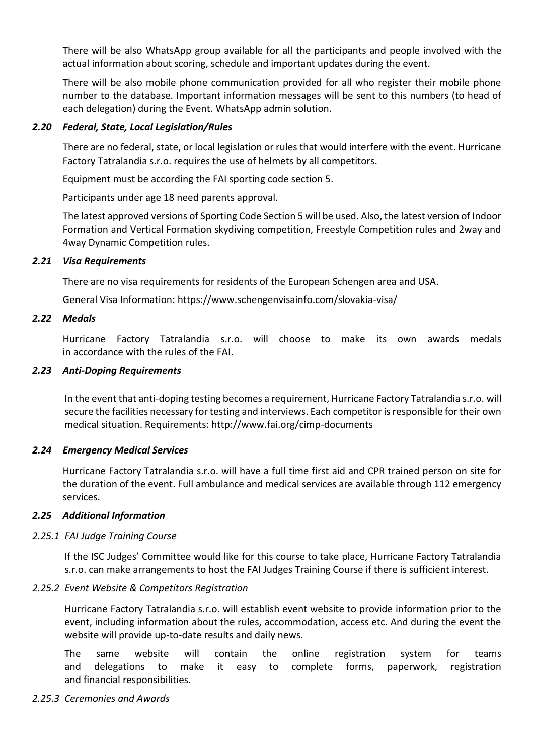There will be also WhatsApp group available for all the participants and people involved with the actual information about scoring, schedule and important updates during the event.

There will be also mobile phone communication provided for all who register their mobile phone number to the database. Important information messages will be sent to this numbers (to head of each delegation) during the Event. WhatsApp admin solution.

#### *2.20 Federal, State, Local Legislation/Rules*

There are no federal, state, or local legislation or rules that would interfere with the event. Hurricane Factory Tatralandia s.r.o. requires the use of helmets by all competitors.

Equipment must be according the FAI sporting code section 5.

Participants under age 18 need parents approval.

The latest approved versions of Sporting Code Section 5 will be used. Also, the latest version of Indoor Formation and Vertical Formation skydiving competition, Freestyle Competition rules and 2way and 4way Dynamic Competition rules.

## *2.21 Visa Requirements*

There are no visa requirements for residents of the European Schengen area and USA.

General Visa Information: https://www.schengenvisainfo.com/slovakia-visa/

## *2.22 Medals*

Hurricane Factory Tatralandia s.r.o. will choose to make its own awards medals in accordance with the rules of the FAI.

## *2.23 Anti-Doping Requirements*

In the event that anti-doping testing becomes a requirement, Hurricane Factory Tatralandia s.r.o. will secure the facilities necessary for testing and interviews. Each competitor is responsible for their own medical situation. Requirements: http://www.fai.org/cimp-documents

# *2.24 Emergency Medical Services*

Hurricane Factory Tatralandia s.r.o. will have a full time first aid and CPR trained person on site for the duration of the event. Full ambulance and medical services are available through 112 emergency services.

#### *2.25 Additional Information*

#### *2.25.1 FAI Judge Training Course*

If the ISC Judges' Committee would like for this course to take place, Hurricane Factory Tatralandia s.r.o. can make arrangements to host the FAI Judges Training Course if there is sufficient interest.

# *2.25.2 Event Website & Competitors Registration*

Hurricane Factory Tatralandia s.r.o. will establish event website to provide information prior to the event, including information about the rules, accommodation, access etc. And during the event the website will provide up-to-date results and daily news.

The same website will contain the online registration system for teams and delegations to make it easy to complete forms, paperwork, registration and financial responsibilities.

# *2.25.3 Ceremonies and Awards*